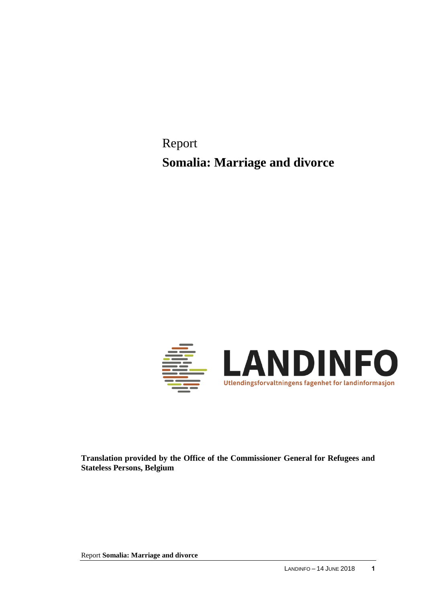Report **Somalia: Marriage and divorce**



**Translation provided by the Office of the Commissioner General for Refugees and Stateless Persons, Belgium**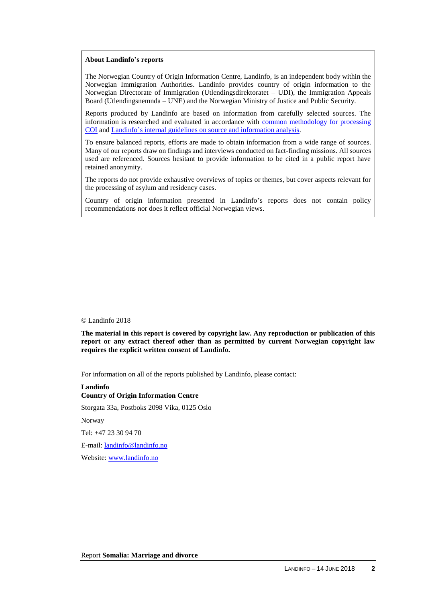#### **About Landinfo's reports**

The Norwegian Country of Origin Information Centre, Landinfo, is an independent body within the Norwegian Immigration Authorities. Landinfo provides country of origin information to the Norwegian Directorate of Immigration (Utlendingsdirektoratet – UDI), the Immigration Appeals Board (Utlendingsnemnda – UNE) and the Norwegian Ministry of Justice and Public Security.

Reports produced by Landinfo are based on information from carefully selected sources. The information is researched and evaluated in accordance with [common methodology for processing](http://www.landinfo.no/id/20.0)  [COI](http://www.landinfo.no/id/20.0) an[d Landinfo's internal guidelines on source and information analysis.](http://www.landinfo.no/asset/3135/1/3135_1.pdf)

To ensure balanced reports, efforts are made to obtain information from a wide range of sources. Many of our reports draw on findings and interviews conducted on fact-finding missions. All sources used are referenced. Sources hesitant to provide information to be cited in a public report have retained anonymity.

The reports do not provide exhaustive overviews of topics or themes, but cover aspects relevant for the processing of asylum and residency cases.

Country of origin information presented in Landinfo's reports does not contain policy recommendations nor does it reflect official Norwegian views.

#### © Landinfo 2018

**The material in this report is covered by copyright law. Any reproduction or publication of this report or any extract thereof other than as permitted by current Norwegian copyright law requires the explicit written consent of Landinfo.**

For information on all of the reports published by Landinfo, please contact:

**Landinfo Country of Origin Information Centre** Storgata 33a, Postboks 2098 Vika, 0125 Oslo Norway Tel: +47 23 30 94 70 E-mail: [landinfo@landinfo.no](mailto:landinfo@landinfo.no) Website: [www.landinfo.no](http://www.landinfo.no/)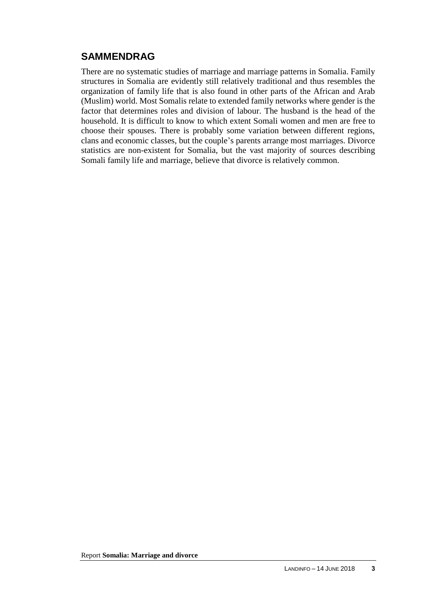# **SAMMENDRAG**

There are no systematic studies of marriage and marriage patterns in Somalia. Family structures in Somalia are evidently still relatively traditional and thus resembles the organization of family life that is also found in other parts of the African and Arab (Muslim) world. Most Somalis relate to extended family networks where gender is the factor that determines roles and division of labour. The husband is the head of the household. It is difficult to know to which extent Somali women and men are free to choose their spouses. There is probably some variation between different regions, clans and economic classes, but the couple's parents arrange most marriages. Divorce statistics are non-existent for Somalia, but the vast majority of sources describing Somali family life and marriage, believe that divorce is relatively common.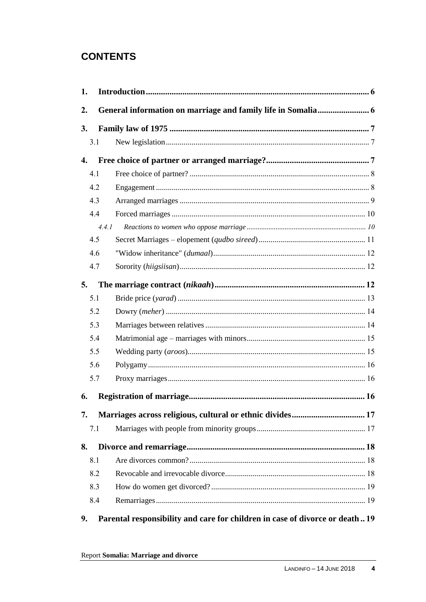# **CONTENTS**

| 1.               |       |                                                                              |  |
|------------------|-------|------------------------------------------------------------------------------|--|
| 2.               |       |                                                                              |  |
| 3.               |       |                                                                              |  |
|                  | 3.1   |                                                                              |  |
| $\overline{4}$ . |       |                                                                              |  |
|                  | 4.1   |                                                                              |  |
|                  | 4.2   |                                                                              |  |
|                  | 4.3   |                                                                              |  |
|                  | 4.4   |                                                                              |  |
|                  | 4.4.1 |                                                                              |  |
|                  | 4.5   |                                                                              |  |
|                  | 4.6   |                                                                              |  |
|                  | 4.7   |                                                                              |  |
| 5.               |       |                                                                              |  |
|                  | 5.1   |                                                                              |  |
|                  | 5.2   |                                                                              |  |
|                  | 5.3   |                                                                              |  |
|                  | 5.4   |                                                                              |  |
|                  | 5.5   |                                                                              |  |
|                  | 5.6   |                                                                              |  |
|                  | 5.7   |                                                                              |  |
| 6.               |       |                                                                              |  |
| 7.               |       | Marriages across religious, cultural or ethnic divides 17                    |  |
|                  | 7.1   |                                                                              |  |
| 8.               |       |                                                                              |  |
|                  | 8.1   |                                                                              |  |
|                  | 8.2   |                                                                              |  |
|                  | 8.3   |                                                                              |  |
|                  | 8.4   |                                                                              |  |
| 9.               |       | Parental responsibility and care for children in case of divorce or death 19 |  |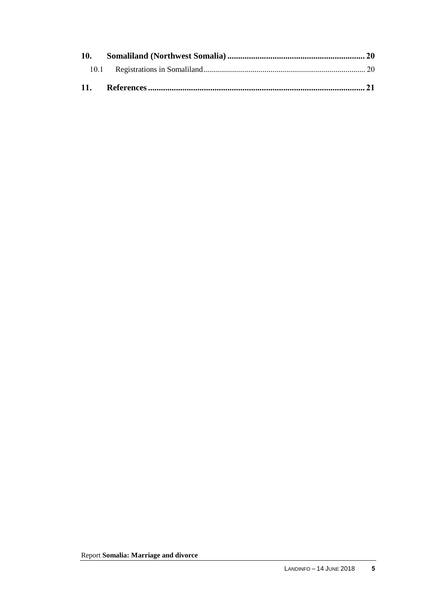| 10. |  |
|-----|--|
|     |  |
|     |  |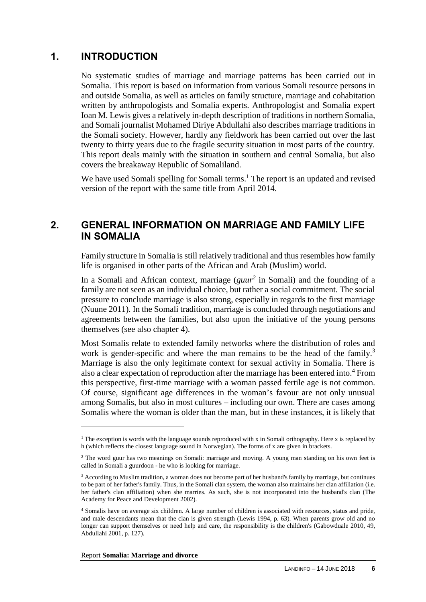## **1. INTRODUCTION**

No systematic studies of marriage and marriage patterns has been carried out in Somalia. This report is based on information from various Somali resource persons in and outside Somalia, as well as articles on family structure, marriage and cohabitation written by anthropologists and Somalia experts. Anthropologist and Somalia expert Ioan M. Lewis gives a relatively in-depth description of traditions in northern Somalia, and Somali journalist Mohamed Diriye Abdullahi also describes marriage traditions in the Somali society. However, hardly any fieldwork has been carried out over the last twenty to thirty years due to the fragile security situation in most parts of the country. This report deals mainly with the situation in southern and central Somalia, but also covers the breakaway Republic of Somaliland.

We have used Somali spelling for Somali terms.<sup>1</sup> The report is an updated and revised version of the report with the same title from April 2014.

## **2. GENERAL INFORMATION ON MARRIAGE AND FAMILY LIFE IN SOMALIA**

Family structure in Somalia is still relatively traditional and thus resembles how family life is organised in other parts of the African and Arab (Muslim) world.

In a Somali and African context, marriage (*guur<sup>2</sup>* in Somali) and the founding of a family are not seen as an individual choice, but rather a social commitment. The social pressure to conclude marriage is also strong, especially in regards to the first marriage (Nuune 2011). In the Somali tradition, marriage is concluded through negotiations and agreements between the families, but also upon the initiative of the young persons themselves (see also chapter 4).

Most Somalis relate to extended family networks where the distribution of roles and work is gender-specific and where the man remains to be the head of the family.<sup>3</sup> Marriage is also the only legitimate context for sexual activity in Somalia. There is also a clear expectation of reproduction after the marriage has been entered into.<sup>4</sup> From this perspective, first-time marriage with a woman passed fertile age is not common. Of course, significant age differences in the woman's favour are not only unusual among Somalis, but also in most cultures – including our own. There are cases among Somalis where the woman is older than the man, but in these instances, it is likely that

<sup>&</sup>lt;sup>1</sup> The exception is words with the language sounds reproduced with x in Somali orthography. Here x is replaced by h (which reflects the closest language sound in Norwegian). The forms of x are given in brackets.

<sup>2</sup> The word guur has two meanings on Somali: marriage and moving. A young man standing on his own feet is called in Somali a guurdoon - he who is looking for marriage.

<sup>3</sup> According to Muslim tradition, a woman does not become part of her husband's family by marriage, but continues to be part of her father's family. Thus, in the Somali clan system, the woman also maintains her clan affiliation (i.e. her father's clan affiliation) when she marries. As such, she is not incorporated into the husband's clan (The Academy for Peace and Development 2002).

<sup>4</sup> Somalis have on average six children. A large number of children is associated with resources, status and pride, and male descendants mean that the clan is given strength (Lewis 1994, p. 63). When parents grow old and no longer can support themselves or need help and care, the responsibility is the children's (Gabowduale 2010, 49, Abdullahi 2001, p. 127).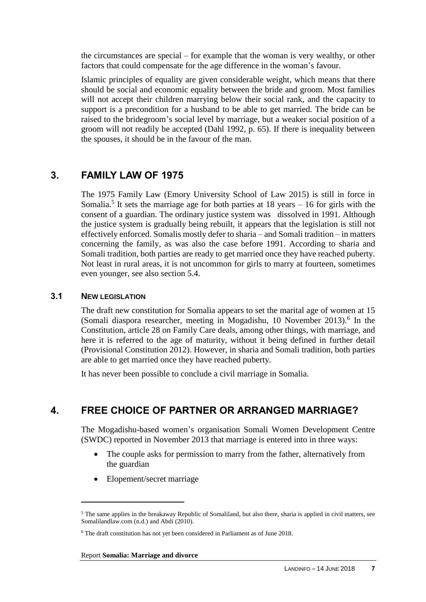the circumstances are special – for example that the woman is very wealthy, or other factors that could compensate for the age difference in the woman's favour.

Islamic principles of equality are given considerable weight, which means that there should be social and economic equality between the bride and groom. Most families will not accept their children marrying below their social rank, and the capacity to support is a precondition for a husband to be able to get married. The bride can be raised to the bridegroom's social level by marriage, but a weaker social position of a groom will not readily be accepted (Dahl 1992, p. 65). If there is inequality between the spouses, it should be in the favour of the man.

# **3. FAMILY LAW OF 1975**

The 1975 Family Law (Emory University School of Law 2015) is still in force in Somalia.<sup>5</sup> It sets the marriage age for both parties at  $18$  years  $-16$  for girls with the consent of a guardian. The ordinary justice system was dissolved in 1991. Although the justice system is gradually being rebuilt, it appears that the legislation is still not effectively enforced. Somalis mostly defer to sharia – and Somali tradition – in matters concerning the family, as was also the case before 1991. According to sharia and Somali tradition, both parties are ready to get married once they have reached puberty. Not least in rural areas, it is not uncommon for girls to marry at fourteen, sometimes even younger, see also section 5.4.

### **3.1 NEW LEGISLATION**

 $\overline{a}$ 

The draft new constitution for Somalia appears to set the marital age of women at 15 (Somali diaspora researcher, meeting in Mogadishu,  $10$  November 2013).<sup>6</sup> In the Constitution, article 28 on Family Care deals, among other things, with marriage, and here it is referred to the age of maturity, without it being defined in further detail (Provisional Constitution 2012). However, in sharia and Somali tradition, both parties are able to get married once they have reached puberty.

It has never been possible to conclude a civil marriage in Somalia.

# **4. FREE CHOICE OF PARTNER OR ARRANGED MARRIAGE?**

The Mogadishu-based women's organisation Somali Women Development Centre (SWDC) reported in November 2013 that marriage is entered into in three ways:

- The couple asks for permission to marry from the father, alternatively from the guardian
- Elopement/secret marriage

<sup>&</sup>lt;sup>5</sup> The same applies in the breakaway Republic of Somaliland, but also there, sharia is applied in civil matters, see Somalilandlaw.com (n.d.) and Abdi (2010).

<sup>6</sup> The draft constitution has not yet been considered in Parliament as of June 2018.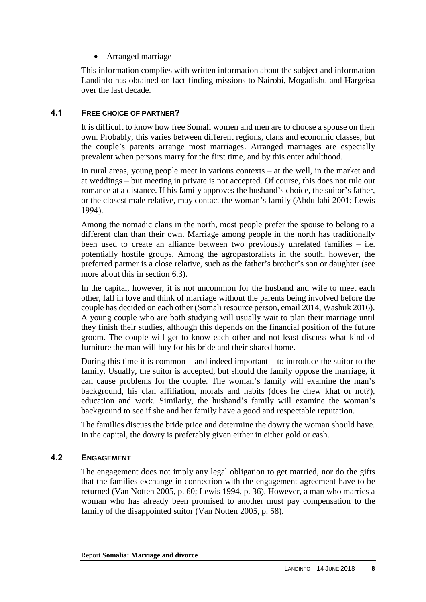Arranged marriage

This information complies with written information about the subject and information Landinfo has obtained on fact-finding missions to Nairobi, Mogadishu and Hargeisa over the last decade.

### **4.1 FREE CHOICE OF PARTNER?**

It is difficult to know how free Somali women and men are to choose a spouse on their own. Probably, this varies between different regions, clans and economic classes, but the couple's parents arrange most marriages. Arranged marriages are especially prevalent when persons marry for the first time, and by this enter adulthood.

In rural areas, young people meet in various contexts – at the well, in the market and at weddings – but meeting in private is not accepted. Of course, this does not rule out romance at a distance. If his family approves the husband's choice, the suitor's father, or the closest male relative, may contact the woman's family (Abdullahi 2001; Lewis 1994).

Among the nomadic clans in the north, most people prefer the spouse to belong to a different clan than their own. Marriage among people in the north has traditionally been used to create an alliance between two previously unrelated families – i.e. potentially hostile groups. Among the agropastoralists in the south, however, the preferred partner is a close relative, such as the father's brother's son or daughter (see more about this in section 6.3).

In the capital, however, it is not uncommon for the husband and wife to meet each other, fall in love and think of marriage without the parents being involved before the couple has decided on each other (Somali resource person, email 2014, Washuk 2016). A young couple who are both studying will usually wait to plan their marriage until they finish their studies, although this depends on the financial position of the future groom. The couple will get to know each other and not least discuss what kind of furniture the man will buy for his bride and their shared home.

During this time it is common – and indeed important – to introduce the suitor to the family. Usually, the suitor is accepted, but should the family oppose the marriage, it can cause problems for the couple. The woman's family will examine the man's background, his clan affiliation, morals and habits (does he chew khat or not?), education and work. Similarly, the husband's family will examine the woman's background to see if she and her family have a good and respectable reputation.

The families discuss the bride price and determine the dowry the woman should have. In the capital, the dowry is preferably given either in either gold or cash.

### **4.2 ENGAGEMENT**

The engagement does not imply any legal obligation to get married, nor do the gifts that the families exchange in connection with the engagement agreement have to be returned (Van Notten 2005, p. 60; Lewis 1994, p. 36). However, a man who marries a woman who has already been promised to another must pay compensation to the family of the disappointed suitor (Van Notten 2005, p. 58).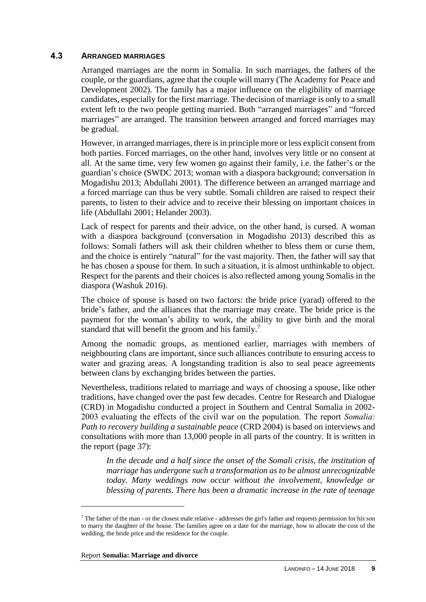#### **4.3 ARRANGED MARRIAGES**

Arranged marriages are the norm in Somalia. In such marriages, the fathers of the couple, or the guardians, agree that the couple will marry (The Academy for Peace and Development 2002). The family has a major influence on the eligibility of marriage candidates, especially for the first marriage. The decision of marriage is only to a small extent left to the two people getting married. Both "arranged marriages" and "forced marriages" are arranged. The transition between arranged and forced marriages may be gradual.

However, in arranged marriages, there is in principle more or less explicit consent from both parties. Forced marriages, on the other hand, involves very little or no consent at all. At the same time, very few women go against their family, i.e. the father's or the guardian's choice (SWDC 2013; woman with a diaspora background; conversation in Mogadishu 2013; Abdullahi 2001). The difference between an arranged marriage and a forced marriage can thus be very subtle. Somali children are raised to respect their parents, to listen to their advice and to receive their blessing on important choices in life (Abdullahi 2001; Helander 2003).

Lack of respect for parents and their advice, on the other hand, is cursed. A woman with a diaspora background (conversation in Mogadishu 2013) described this as follows: Somali fathers will ask their children whether to bless them or curse them, and the choice is entirely "natural" for the vast majority. Then, the father will say that he has chosen a spouse for them. In such a situation, it is almost unthinkable to object. Respect for the parents and their choices is also reflected among young Somalis in the diaspora (Washuk 2016).

The choice of spouse is based on two factors: the bride price (yarad) offered to the bride's father, and the alliances that the marriage may create. The bride price is the payment for the woman's ability to work, the ability to give birth and the moral standard that will benefit the groom and his family.<sup>7</sup>

Among the nomadic groups, as mentioned earlier, marriages with members of neighbouring clans are important, since such alliances contribute to ensuring access to water and grazing areas. A longstanding tradition is also to seal peace agreements between clans by exchanging brides between the parties.

Nevertheless, traditions related to marriage and ways of choosing a spouse, like other traditions, have changed over the past few decades. Centre for Research and Dialogue (CRD) in Mogadishu conducted a project in Southern and Central Somalia in 2002- 2003 evaluating the effects of the civil war on the population. The report *Somalia: Path to recovery building a sustainable peace* (CRD 2004) is based on interviews and consultations with more than 13,000 people in all parts of the country. It is written in the report (page 37):

In the decade and a half since the onset of the Somali crisis, the institution of *marriage has undergone such a transformation as to be almost unrecognizable today. Many weddings now occur without the involvement, knowledge or blessing of parents. There has been a dramatic increase in the rate of teenage* 

<sup>7</sup> The father of the man - or the closest male relative - addresses the girl's father and requests permission for his son to marry the daughter of the house. The families agree on a date for the marriage, how to allocate the cost of the wedding, the bride price and the residence for the couple.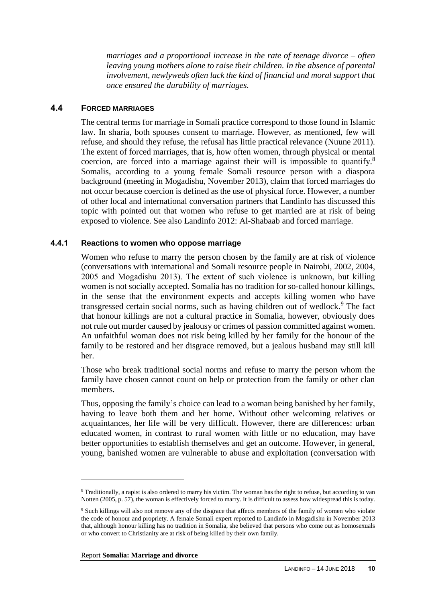*marriages and a proportional increase in the rate of teenage divorce – often leaving young mothers alone to raise their children. In the absence of parental involvement, newlyweds often lack the kind of financial and moral support that once ensured the durability of marriages.*

#### **4.4 FORCED MARRIAGES**

The central terms for marriage in Somali practice correspond to those found in Islamic law. In sharia, both spouses consent to marriage. However, as mentioned, few will refuse, and should they refuse, the refusal has little practical relevance (Nuune 2011). The extent of forced marriages, that is, how often women, through physical or mental coercion, are forced into a marriage against their will is impossible to quantify.<sup>8</sup> Somalis, according to a young female Somali resource person with a diaspora background (meeting in Mogadishu, November 2013), claim that forced marriages do not occur because coercion is defined as the use of physical force. However, a number of other local and international conversation partners that Landinfo has discussed this topic with pointed out that women who refuse to get married are at risk of being exposed to violence. See also Landinfo 2012: Al-Shabaab and forced marriage.

#### **4.4.1 Reactions to women who oppose marriage**

Women who refuse to marry the person chosen by the family are at risk of violence (conversations with international and Somali resource people in Nairobi, 2002, 2004, 2005 and Mogadishu 2013). The extent of such violence is unknown, but killing women is not socially accepted. Somalia has no tradition for so-called honour killings, in the sense that the environment expects and accepts killing women who have transgressed certain social norms, such as having children out of wedlock.<sup>9</sup> The fact that honour killings are not a cultural practice in Somalia, however, obviously does not rule out murder caused by jealousy or crimes of passion committed against women. An unfaithful woman does not risk being killed by her family for the honour of the family to be restored and her disgrace removed, but a jealous husband may still kill her.

Those who break traditional social norms and refuse to marry the person whom the family have chosen cannot count on help or protection from the family or other clan members.

Thus, opposing the family's choice can lead to a woman being banished by her family, having to leave both them and her home. Without other welcoming relatives or acquaintances, her life will be very difficult. However, there are differences: urban educated women, in contrast to rural women with little or no education, may have better opportunities to establish themselves and get an outcome. However, in general, young, banished women are vulnerable to abuse and exploitation (conversation with

Report **Somalia: Marriage and divorce**

<sup>8</sup> Traditionally, a rapist is also ordered to marry his victim. The woman has the right to refuse, but according to van Notten (2005, p. 57), the woman is effectively forced to marry. It is difficult to assess how widespread this is today.

<sup>9</sup> Such killings will also not remove any of the disgrace that affects members of the family of women who violate the code of honour and propriety. A female Somali expert reported to Landinfo in Mogadishu in November 2013 that, although honour killing has no tradition in Somalia, she believed that persons who come out as homosexuals or who convert to Christianity are at risk of being killed by their own family.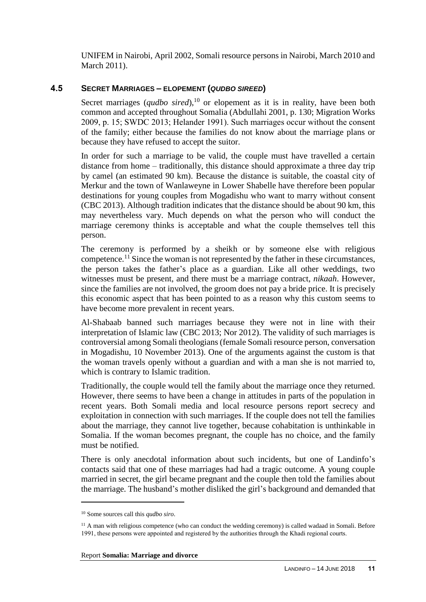UNIFEM in Nairobi, April 2002, Somali resource persons in Nairobi, March 2010 and March 2011).

### **4.5 SECRET MARRIAGES – ELOPEMENT (***QUDBO SIREED***)**

Secret marriages (*qudbo sired*),<sup>10</sup> or elopement as it is in reality, have been both common and accepted throughout Somalia (Abdullahi 2001, p. 130; Migration Works 2009, p. 15; SWDC 2013; Helander 1991). Such marriages occur without the consent of the family; either because the families do not know about the marriage plans or because they have refused to accept the suitor.

In order for such a marriage to be valid, the couple must have travelled a certain distance from home – traditionally, this distance should approximate a three day trip by camel (an estimated 90 km). Because the distance is suitable, the coastal city of Merkur and the town of Wanlaweyne in Lower Shabelle have therefore been popular destinations for young couples from Mogadishu who want to marry without consent (CBC 2013). Although tradition indicates that the distance should be about 90 km, this may nevertheless vary. Much depends on what the person who will conduct the marriage ceremony thinks is acceptable and what the couple themselves tell this person.

The ceremony is performed by a sheikh or by someone else with religious competence.<sup>11</sup> Since the woman is not represented by the father in these circumstances, the person takes the father's place as a guardian. Like all other weddings, two witnesses must be present, and there must be a marriage contract, *nikaah*. However, since the families are not involved, the groom does not pay a bride price. It is precisely this economic aspect that has been pointed to as a reason why this custom seems to have become more prevalent in recent years.

Al-Shabaab banned such marriages because they were not in line with their interpretation of Islamic law (CBC 2013; Nor 2012). The validity of such marriages is controversial among Somali theologians (female Somali resource person, conversation in Mogadishu, 10 November 2013). One of the arguments against the custom is that the woman travels openly without a guardian and with a man she is not married to, which is contrary to Islamic tradition.

Traditionally, the couple would tell the family about the marriage once they returned. However, there seems to have been a change in attitudes in parts of the population in recent years. Both Somali media and local resource persons report secrecy and exploitation in connection with such marriages. If the couple does not tell the families about the marriage, they cannot live together, because cohabitation is unthinkable in Somalia. If the woman becomes pregnant, the couple has no choice, and the family must be notified.

There is only anecdotal information about such incidents, but one of Landinfo's contacts said that one of these marriages had had a tragic outcome. A young couple married in secret, the girl became pregnant and the couple then told the families about the marriage. The husband's mother disliked the girl's background and demanded that

<sup>10</sup> Some sources call this *qudbo siro*.

<sup>&</sup>lt;sup>11</sup> A man with religious competence (who can conduct the wedding ceremony) is called wadaad in Somali. Before 1991, these persons were appointed and registered by the authorities through the Khadi regional courts.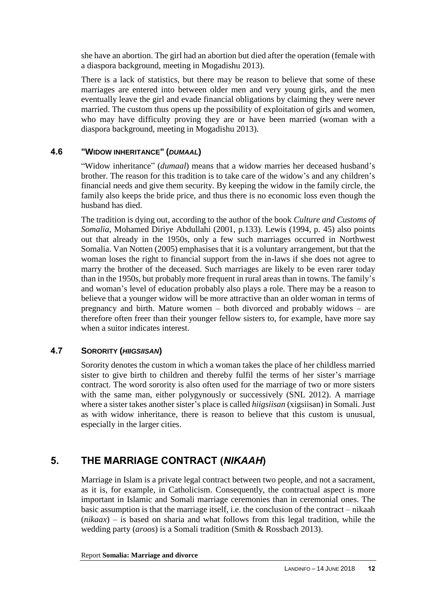she have an abortion. The girl had an abortion but died after the operation (female with a diaspora background, meeting in Mogadishu 2013).

There is a lack of statistics, but there may be reason to believe that some of these marriages are entered into between older men and very young girls, and the men eventually leave the girl and evade financial obligations by claiming they were never married. The custom thus opens up the possibility of exploitation of girls and women, who may have difficulty proving they are or have been married (woman with a diaspora background, meeting in Mogadishu 2013).

### **4.6 "WIDOW INHERITANCE" (***DUMAAL***)**

"Widow inheritance" (*dumaal*) means that a widow marries her deceased husband's brother. The reason for this tradition is to take care of the widow's and any children's financial needs and give them security. By keeping the widow in the family circle, the family also keeps the bride price, and thus there is no economic loss even though the husband has died.

The tradition is dying out, according to the author of the book *Culture and Customs of Somalia*, Mohamed Diriye Abdullahi (2001, p.133). Lewis (1994, p. 45) also points out that already in the 1950s, only a few such marriages occurred in Northwest Somalia. Van Notten (2005) emphasises that it is a voluntary arrangement, but that the woman loses the right to financial support from the in-laws if she does not agree to marry the brother of the deceased. Such marriages are likely to be even rarer today than in the 1950s, but probably more frequent in rural areas than in towns. The family's and woman's level of education probably also plays a role. There may be a reason to believe that a younger widow will be more attractive than an older woman in terms of pregnancy and birth. Mature women – both divorced and probably widows – are therefore often freer than their younger fellow sisters to, for example, have more say when a suitor indicates interest.

### **4.7 SORORITY (***HIIGSIISAN***)**

Sorority denotes the custom in which a woman takes the place of her childless married sister to give birth to children and thereby fulfil the terms of her sister's marriage contract. The word sorority is also often used for the marriage of two or more sisters with the same man, either polygynously or successively (SNL 2012). A marriage where a sister takes another sister's place is called *hiigsiisan* (xigsiisan) in Somali. Just as with widow inheritance, there is reason to believe that this custom is unusual, especially in the larger cities.

# **5. THE MARRIAGE CONTRACT (***NIKAAH***)**

Marriage in Islam is a private legal contract between two people, and not a sacrament, as it is, for example, in Catholicism. Consequently, the contractual aspect is more important in Islamic and Somali marriage ceremonies than in ceremonial ones. The basic assumption is that the marriage itself, i.e. the conclusion of the contract – nikaah (*nikaax*) – is based on sharia and what follows from this legal tradition, while the wedding party (*aroos*) is a Somali tradition (Smith & Rossbach 2013).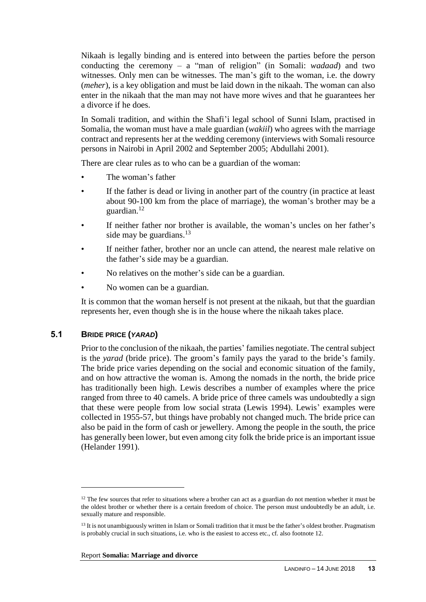Nikaah is legally binding and is entered into between the parties before the person conducting the ceremony – a "man of religion" (in Somali: *wadaad*) and two witnesses. Only men can be witnesses. The man's gift to the woman, i.e. the dowry (*meher*), is a key obligation and must be laid down in the nikaah. The woman can also enter in the nikaah that the man may not have more wives and that he guarantees her a divorce if he does.

In Somali tradition, and within the Shafi'i legal school of Sunni Islam, practised in Somalia, the woman must have a male guardian (*wakiil*) who agrees with the marriage contract and represents her at the wedding ceremony (interviews with Somali resource persons in Nairobi in April 2002 and September 2005; Abdullahi 2001).

There are clear rules as to who can be a guardian of the woman:

- The woman's father
- If the father is dead or living in another part of the country (in practice at least about 90-100 km from the place of marriage), the woman's brother may be a guardian.<sup>12</sup>
- If neither father nor brother is available, the woman's uncles on her father's side may be guardians. $13$
- If neither father, brother nor an uncle can attend, the nearest male relative on the father's side may be a guardian.
- No relatives on the mother's side can be a guardian.
- No women can be a guardian.

It is common that the woman herself is not present at the nikaah, but that the guardian represents her, even though she is in the house where the nikaah takes place.

### **5.1 BRIDE PRICE (***YARAD***)**

 $\overline{a}$ 

Prior to the conclusion of the nikaah, the parties' families negotiate. The central subject is the *yarad* (bride price). The groom's family pays the yarad to the bride's family. The bride price varies depending on the social and economic situation of the family, and on how attractive the woman is. Among the nomads in the north, the bride price has traditionally been high. Lewis describes a number of examples where the price ranged from three to 40 camels. A bride price of three camels was undoubtedly a sign that these were people from low social strata (Lewis 1994). Lewis' examples were collected in 1955-57, but things have probably not changed much. The bride price can also be paid in the form of cash or jewellery. Among the people in the south, the price has generally been lower, but even among city folk the bride price is an important issue (Helander 1991).

 $12$  The few sources that refer to situations where a brother can act as a guardian do not mention whether it must be the oldest brother or whether there is a certain freedom of choice. The person must undoubtedly be an adult, i.e. sexually mature and responsible.

<sup>&</sup>lt;sup>13</sup> It is not unambiguously written in Islam or Somali tradition that it must be the father's oldest brother. Pragmatism is probably crucial in such situations, i.e. who is the easiest to access etc., cf. also footnote 12.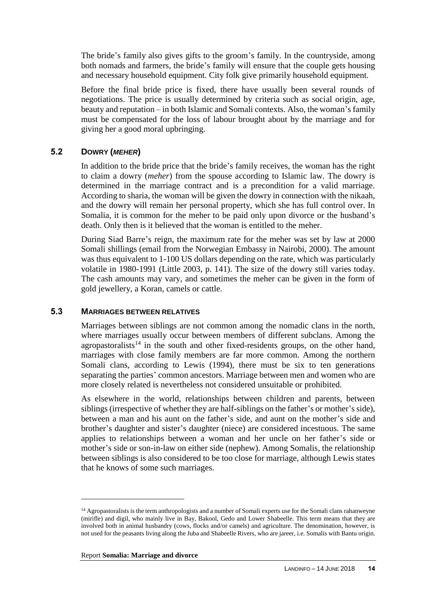The bride's family also gives gifts to the groom's family. In the countryside, among both nomads and farmers, the bride's family will ensure that the couple gets housing and necessary household equipment. City folk give primarily household equipment.

Before the final bride price is fixed, there have usually been several rounds of negotiations. The price is usually determined by criteria such as social origin, age, beauty and reputation – in both Islamic and Somali contexts. Also, the woman's family must be compensated for the loss of labour brought about by the marriage and for giving her a good moral upbringing.

### **5.2 DOWRY (***MEHER***)**

In addition to the bride price that the bride's family receives, the woman has the right to claim a dowry (*meher*) from the spouse according to Islamic law. The dowry is determined in the marriage contract and is a precondition for a valid marriage. According to sharia, the woman will be given the dowry in connection with the nikaah, and the dowry will remain her personal property, which she has full control over. In Somalia, it is common for the meher to be paid only upon divorce or the husband's death. Only then is it believed that the woman is entitled to the meher.

During Siad Barre's reign, the maximum rate for the meher was set by law at 2000 Somali shillings (email from the Norwegian Embassy in Nairobi, 2000). The amount was thus equivalent to 1-100 US dollars depending on the rate, which was particularly volatile in 1980-1991 (Little 2003, p. 141). The size of the dowry still varies today. The cash amounts may vary, and sometimes the meher can be given in the form of gold jewellery, a Koran, camels or cattle.

### **5.3 MARRIAGES BETWEEN RELATIVES**

Marriages between siblings are not common among the nomadic clans in the north, where marriages usually occur between members of different subclans. Among the agropastoralists<sup>14</sup> in the south and other fixed-residents groups, on the other hand, marriages with close family members are far more common. Among the northern Somali clans, according to Lewis (1994), there must be six to ten generations separating the parties' common ancestors. Marriage between men and women who are more closely related is nevertheless not considered unsuitable or prohibited.

As elsewhere in the world, relationships between children and parents, between siblings (irrespective of whether they are half-siblings on the father's or mother's side), between a man and his aunt on the father's side, and aunt on the mother's side and brother's daughter and sister's daughter (niece) are considered incestuous. The same applies to relationships between a woman and her uncle on her father's side or mother's side or son-in-law on either side (nephew). Among Somalis, the relationship between siblings is also considered to be too close for marriage, although Lewis states that he knows of some such marriages.

<sup>&</sup>lt;sup>14</sup> Agropastoralists is the term anthropologists and a number of Somali experts use for the Somali clans rahanweyne (mirifle) and digil, who mainly live in Bay, Bakool, Gedo and Lower Shabeelle. This term means that they are involved both in animal husbandry (cows, flocks and/or camels) and agriculture. The denomination, however, is not used for the peasants living along the Juba and Shabeelle Rivers, who are jareer, i.e. Somalis with Bantu origin.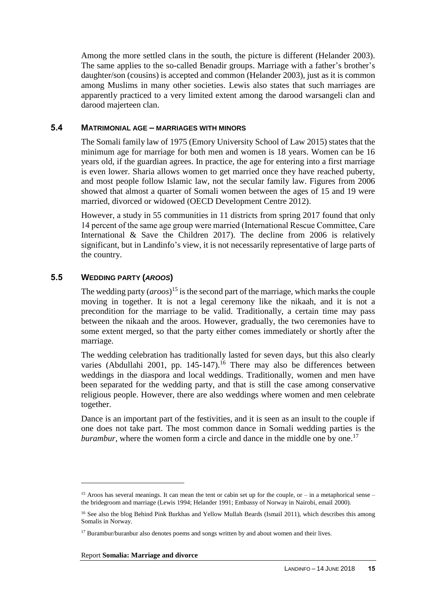Among the more settled clans in the south, the picture is different (Helander 2003). The same applies to the so-called Benadir groups. Marriage with a father's brother's daughter/son (cousins) is accepted and common (Helander 2003), just as it is common among Muslims in many other societies. Lewis also states that such marriages are apparently practiced to a very limited extent among the darood warsangeli clan and darood majerteen clan.

#### **5.4 MATRIMONIAL AGE – MARRIAGES WITH MINORS**

The Somali family law of 1975 (Emory University School of Law 2015) states that the minimum age for marriage for both men and women is 18 years. Women can be 16 years old, if the guardian agrees. In practice, the age for entering into a first marriage is even lower. Sharia allows women to get married once they have reached puberty, and most people follow Islamic law, not the secular family law. Figures from 2006 showed that almost a quarter of Somali women between the ages of 15 and 19 were married, divorced or widowed (OECD Development Centre 2012).

However, a study in 55 communities in 11 districts from spring 2017 found that only 14 percent of the same age group were married (International Rescue Committee, Care International & Save the Children 2017). The decline from 2006 is relatively significant, but in Landinfo's view, it is not necessarily representative of large parts of the country.

### **5.5 WEDDING PARTY (***AROOS***)**

 $\overline{a}$ 

The wedding party (*aroos*) <sup>15</sup> is the second part of the marriage, which marks the couple moving in together. It is not a legal ceremony like the nikaah, and it is not a precondition for the marriage to be valid. Traditionally, a certain time may pass between the nikaah and the aroos. However, gradually, the two ceremonies have to some extent merged, so that the party either comes immediately or shortly after the marriage.

The wedding celebration has traditionally lasted for seven days, but this also clearly varies (Abdullahi 2001, pp. 145-147).<sup>16</sup> There may also be differences between weddings in the diaspora and local weddings. Traditionally, women and men have been separated for the wedding party, and that is still the case among conservative religious people. However, there are also weddings where women and men celebrate together.

Dance is an important part of the festivities, and it is seen as an insult to the couple if one does not take part. The most common dance in Somali wedding parties is the *burambur*, where the women form a circle and dance in the middle one by one.<sup>17</sup>

#### Report **Somalia: Marriage and divorce**

<sup>&</sup>lt;sup>15</sup> Aroos has several meanings. It can mean the tent or cabin set up for the couple, or – in a metaphorical sense – the bridegroom and marriage (Lewis 1994; Helander 1991; Embassy of Norway in Nairobi, email 2000).

<sup>&</sup>lt;sup>16</sup> See also the blog Behind Pink Burkhas and Yellow Mullah Beards (Ismail 2011), which describes this among Somalis in Norway.

<sup>&</sup>lt;sup>17</sup> Burambur/buranbur also denotes poems and songs written by and about women and their lives.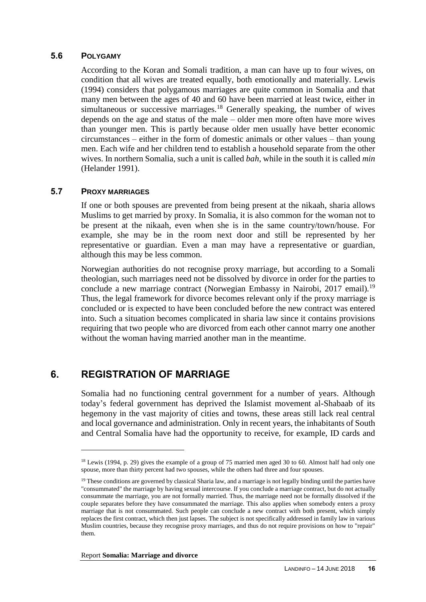#### **5.6 POLYGAMY**

According to the Koran and Somali tradition, a man can have up to four wives, on condition that all wives are treated equally, both emotionally and materially. Lewis (1994) considers that polygamous marriages are quite common in Somalia and that many men between the ages of 40 and 60 have been married at least twice, either in simultaneous or successive marriages.<sup>18</sup> Generally speaking, the number of wives depends on the age and status of the male – older men more often have more wives than younger men. This is partly because older men usually have better economic circumstances – either in the form of domestic animals or other values – than young men. Each wife and her children tend to establish a household separate from the other wives. In northern Somalia, such a unit is called *bah*, while in the south it is called *min* (Helander 1991).

#### **5.7 PROXY MARRIAGES**

 $\overline{a}$ 

If one or both spouses are prevented from being present at the nikaah, sharia allows Muslims to get married by proxy. In Somalia, it is also common for the woman not to be present at the nikaah, even when she is in the same country/town/house. For example, she may be in the room next door and still be represented by her representative or guardian. Even a man may have a representative or guardian, although this may be less common.

Norwegian authorities do not recognise proxy marriage, but according to a Somali theologian, such marriages need not be dissolved by divorce in order for the parties to conclude a new marriage contract (Norwegian Embassy in Nairobi, 2017 email).<sup>19</sup> Thus, the legal framework for divorce becomes relevant only if the proxy marriage is concluded or is expected to have been concluded before the new contract was entered into. Such a situation becomes complicated in sharia law since it contains provisions requiring that two people who are divorced from each other cannot marry one another without the woman having married another man in the meantime.

## **6. REGISTRATION OF MARRIAGE**

Somalia had no functioning central government for a number of years. Although today's federal government has deprived the Islamist movement al-Shabaab of its hegemony in the vast majority of cities and towns, these areas still lack real central and local governance and administration. Only in recent years, the inhabitants of South and Central Somalia have had the opportunity to receive, for example, ID cards and

Report **Somalia: Marriage and divorce**

<sup>&</sup>lt;sup>18</sup> Lewis (1994, p. 29) gives the example of a group of 75 married men aged 30 to 60. Almost half had only one spouse, more than thirty percent had two spouses, while the others had three and four spouses.

<sup>&</sup>lt;sup>19</sup> These conditions are governed by classical Sharia law, and a marriage is not legally binding until the parties have "consummated" the marriage by having sexual intercourse. If you conclude a marriage contract, but do not actually consummate the marriage, you are not formally married. Thus, the marriage need not be formally dissolved if the couple separates before they have consummated the marriage. This also applies when somebody enters a proxy marriage that is not consummated. Such people can conclude a new contract with both present, which simply replaces the first contract, which then just lapses. The subject is not specifically addressed in family law in various Muslim countries, because they recognise proxy marriages, and thus do not require provisions on how to "repair" them.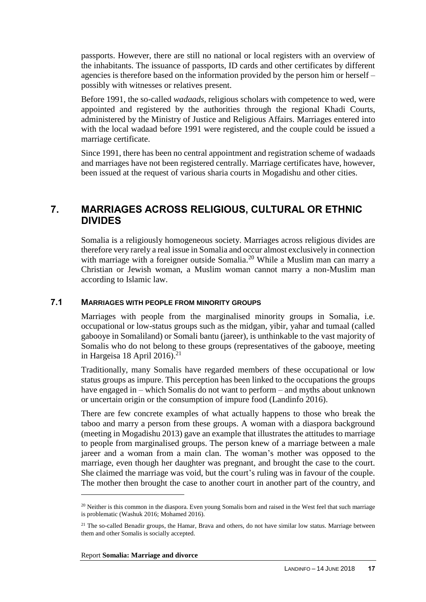passports. However, there are still no national or local registers with an overview of the inhabitants. The issuance of passports, ID cards and other certificates by different agencies is therefore based on the information provided by the person him or herself – possibly with witnesses or relatives present.

Before 1991, the so-called *wadaads*, religious scholars with competence to wed, were appointed and registered by the authorities through the regional Khadi Courts, administered by the Ministry of Justice and Religious Affairs. Marriages entered into with the local wadaad before 1991 were registered, and the couple could be issued a marriage certificate.

Since 1991, there has been no central appointment and registration scheme of wadaads and marriages have not been registered centrally. Marriage certificates have, however, been issued at the request of various sharia courts in Mogadishu and other cities.

## **7. MARRIAGES ACROSS RELIGIOUS, CULTURAL OR ETHNIC DIVIDES**

Somalia is a religiously homogeneous society. Marriages across religious divides are therefore very rarely a real issue in Somalia and occur almost exclusively in connection with marriage with a foreigner outside Somalia.<sup>20</sup> While a Muslim man can marry a Christian or Jewish woman, a Muslim woman cannot marry a non-Muslim man according to Islamic law.

### **7.1 MARRIAGES WITH PEOPLE FROM MINORITY GROUPS**

Marriages with people from the marginalised minority groups in Somalia, i.e. occupational or low-status groups such as the midgan, yibir, yahar and tumaal (called gabooye in Somaliland) or Somali bantu (jareer), is unthinkable to the vast majority of Somalis who do not belong to these groups (representatives of the gabooye, meeting in Hargeisa 18 April 2016).<sup>21</sup>

Traditionally, many Somalis have regarded members of these occupational or low status groups as impure. This perception has been linked to the occupations the groups have engaged in – which Somalis do not want to perform – and myths about unknown or uncertain origin or the consumption of impure food (Landinfo 2016).

There are few concrete examples of what actually happens to those who break the taboo and marry a person from these groups. A woman with a diaspora background (meeting in Mogadishu 2013) gave an example that illustrates the attitudes to marriage to people from marginalised groups. The person knew of a marriage between a male jareer and a woman from a main clan. The woman's mother was opposed to the marriage, even though her daughter was pregnant, and brought the case to the court. She claimed the marriage was void, but the court's ruling was in favour of the couple. The mother then brought the case to another court in another part of the country, and

 $20$  Neither is this common in the diaspora. Even young Somalis born and raised in the West feel that such marriage is problematic (Washuk 2016; Mohamed 2016).

<sup>&</sup>lt;sup>21</sup> The so-called Benadir groups, the Hamar, Brava and others, do not have similar low status. Marriage between them and other Somalis is socially accepted.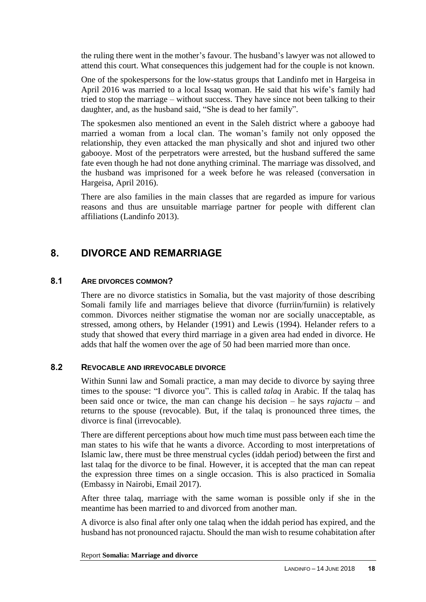the ruling there went in the mother's favour. The husband's lawyer was not allowed to attend this court. What consequences this judgement had for the couple is not known.

One of the spokespersons for the low-status groups that Landinfo met in Hargeisa in April 2016 was married to a local Issaq woman. He said that his wife's family had tried to stop the marriage – without success. They have since not been talking to their daughter, and, as the husband said, "She is dead to her family".

The spokesmen also mentioned an event in the Saleh district where a gabooye had married a woman from a local clan. The woman's family not only opposed the relationship, they even attacked the man physically and shot and injured two other gabooye. Most of the perpetrators were arrested, but the husband suffered the same fate even though he had not done anything criminal. The marriage was dissolved, and the husband was imprisoned for a week before he was released (conversation in Hargeisa, April 2016).

There are also families in the main classes that are regarded as impure for various reasons and thus are unsuitable marriage partner for people with different clan affiliations (Landinfo 2013).

# **8. DIVORCE AND REMARRIAGE**

### **8.1 ARE DIVORCES COMMON?**

There are no divorce statistics in Somalia, but the vast majority of those describing Somali family life and marriages believe that divorce (furriin/furniin) is relatively common. Divorces neither stigmatise the woman nor are socially unacceptable, as stressed, among others, by Helander (1991) and Lewis (1994). Helander refers to a study that showed that every third marriage in a given area had ended in divorce. He adds that half the women over the age of 50 had been married more than once.

### **8.2 REVOCABLE AND IRREVOCABLE DIVORCE**

Within Sunni law and Somali practice, a man may decide to divorce by saying three times to the spouse: "I divorce you". This is called *talaq* in Arabic. If the talaq has been said once or twice, the man can change his decision – he says *rajactu* – and returns to the spouse (revocable). But, if the talaq is pronounced three times, the divorce is final (irrevocable).

There are different perceptions about how much time must pass between each time the man states to his wife that he wants a divorce. According to most interpretations of Islamic law, there must be three menstrual cycles (iddah period) between the first and last talaq for the divorce to be final. However, it is accepted that the man can repeat the expression three times on a single occasion. This is also practiced in Somalia (Embassy in Nairobi, Email 2017).

After three talaq, marriage with the same woman is possible only if she in the meantime has been married to and divorced from another man.

A divorce is also final after only one talaq when the iddah period has expired, and the husband has not pronounced rajactu. Should the man wish to resume cohabitation after

Report **Somalia: Marriage and divorce**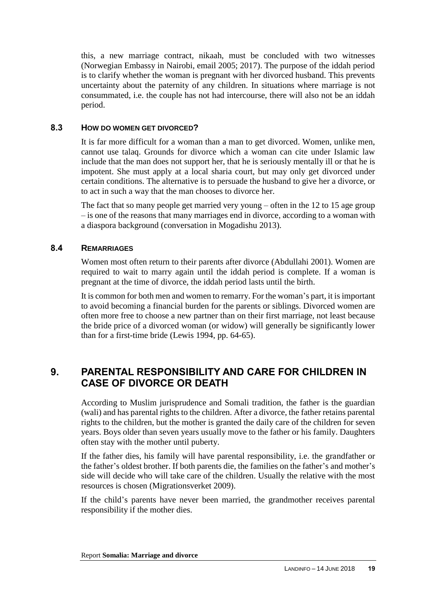this, a new marriage contract, nikaah, must be concluded with two witnesses (Norwegian Embassy in Nairobi, email 2005; 2017). The purpose of the iddah period is to clarify whether the woman is pregnant with her divorced husband. This prevents uncertainty about the paternity of any children. In situations where marriage is not consummated, i.e. the couple has not had intercourse, there will also not be an iddah period.

### **8.3 HOW DO WOMEN GET DIVORCED?**

It is far more difficult for a woman than a man to get divorced. Women, unlike men, cannot use talaq. Grounds for divorce which a woman can cite under Islamic law include that the man does not support her, that he is seriously mentally ill or that he is impotent. She must apply at a local sharia court, but may only get divorced under certain conditions. The alternative is to persuade the husband to give her a divorce, or to act in such a way that the man chooses to divorce her.

The fact that so many people get married very young – often in the 12 to 15 age group – is one of the reasons that many marriages end in divorce, according to a woman with a diaspora background (conversation in Mogadishu 2013).

### **8.4 REMARRIAGES**

Women most often return to their parents after divorce (Abdullahi 2001). Women are required to wait to marry again until the iddah period is complete. If a woman is pregnant at the time of divorce, the iddah period lasts until the birth.

It is common for both men and women to remarry. For the woman's part, it is important to avoid becoming a financial burden for the parents or siblings. Divorced women are often more free to choose a new partner than on their first marriage, not least because the bride price of a divorced woman (or widow) will generally be significantly lower than for a first-time bride (Lewis 1994, pp. 64-65).

# **9. PARENTAL RESPONSIBILITY AND CARE FOR CHILDREN IN CASE OF DIVORCE OR DEATH**

According to Muslim jurisprudence and Somali tradition, the father is the guardian (wali) and has parental rights to the children. After a divorce, the father retains parental rights to the children, but the mother is granted the daily care of the children for seven years. Boys older than seven years usually move to the father or his family. Daughters often stay with the mother until puberty.

If the father dies, his family will have parental responsibility, i.e. the grandfather or the father's oldest brother. If both parents die, the families on the father's and mother's side will decide who will take care of the children. Usually the relative with the most resources is chosen (Migrationsverket 2009).

If the child's parents have never been married, the grandmother receives parental responsibility if the mother dies.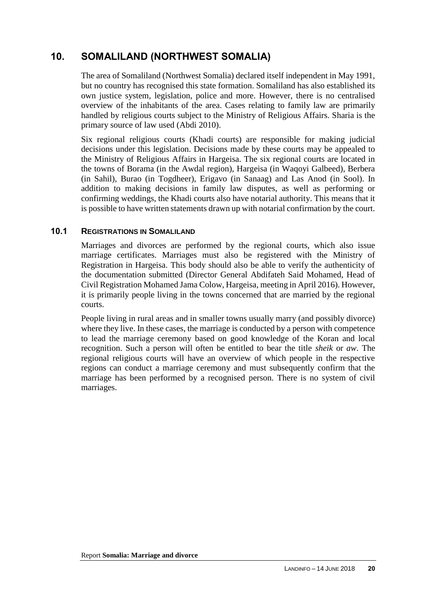# **10. SOMALILAND (NORTHWEST SOMALIA)**

The area of Somaliland (Northwest Somalia) declared itself independent in May 1991, but no country has recognised this state formation. Somaliland has also established its own justice system, legislation, police and more. However, there is no centralised overview of the inhabitants of the area. Cases relating to family law are primarily handled by religious courts subject to the Ministry of Religious Affairs. Sharia is the primary source of law used (Abdi 2010).

Six regional religious courts (Khadi courts) are responsible for making judicial decisions under this legislation. Decisions made by these courts may be appealed to the Ministry of Religious Affairs in Hargeisa. The six regional courts are located in the towns of Borama (in the Awdal region), Hargeisa (in Waqoyi Galbeed), Berbera (in Sahil), Burao (in Togdheer), Erigavo (in Sanaag) and Las Anod (in Sool). In addition to making decisions in family law disputes, as well as performing or confirming weddings, the Khadi courts also have notarial authority. This means that it is possible to have written statements drawn up with notarial confirmation by the court.

### **10.1 REGISTRATIONS IN SOMALILAND**

Marriages and divorces are performed by the regional courts, which also issue marriage certificates. Marriages must also be registered with the Ministry of Registration in Hargeisa. This body should also be able to verify the authenticity of the documentation submitted (Director General Abdifateh Said Mohamed, Head of Civil Registration Mohamed Jama Colow, Hargeisa, meeting in April 2016). However, it is primarily people living in the towns concerned that are married by the regional courts.

People living in rural areas and in smaller towns usually marry (and possibly divorce) where they live. In these cases, the marriage is conducted by a person with competence to lead the marriage ceremony based on good knowledge of the Koran and local recognition. Such a person will often be entitled to bear the title *sheik* or *aw*. The regional religious courts will have an overview of which people in the respective regions can conduct a marriage ceremony and must subsequently confirm that the marriage has been performed by a recognised person. There is no system of civil marriages.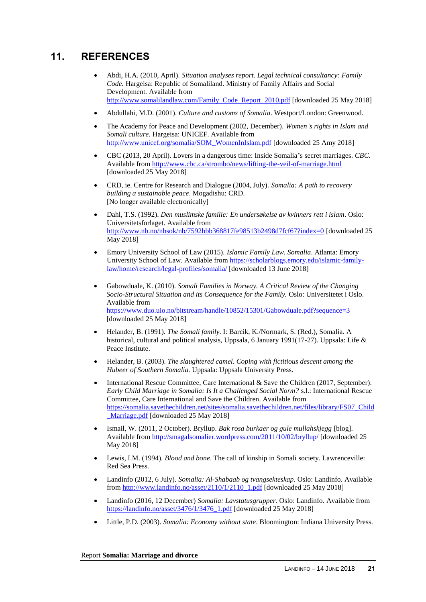# **11. REFERENCES**

- Abdi, H.A. (2010, April). *Situation analyses report. Legal technical consultancy: Family Code.* Hargeisa: Republic of Somaliland. Ministry of Family Affairs and Social Development. Available from [http://www.somalilandlaw.com/Family\\_Code\\_Report\\_2010.pdf](http://www.somalilandlaw.com/Family_Code_Report_2010.pdf) [downloaded 25 May 2018]
- Abdullahi, M.D. (2001). *Culture and customs of Somalia*. Westport/London: Greenwood.
- The Academy for Peace and Development (2002, December). *Women's rights in Islam and Somali culture.* Hargeisa: UNICEF. Available from [http://www.unicef.org/somalia/SOM\\_WomenInIslam.pdf](http://www.unicef.org/somalia/SOM_WomenInIslam.pdf) [downloaded 25 Amy 2018]
- CBC (2013, 20 April). Lovers in a dangerous time: Inside Somalia's secret marriages. *CBC*. Available fro[m http://www.cbc.ca/strombo/news/lifting-the-veil-of-marriage.html](http://www.cbc.ca/strombo/news/lifting-the-veil-of-marriage.html) [downloaded 25 May 2018]
- CRD, ie. Centre for Research and Dialogue (2004, July). *Somalia: A path to recovery building a sustainable peace*. Mogadishu: CRD. [No longer available electronically]
- Dahl, T.S. (1992). *Den muslimske familie: En undersøkelse av kvinners rett i islam*. Oslo: Universitetsforlaget. Available from <http://www.nb.no/nbsok/nb/7592bbb368817fe98513b2498d7fcf67?index=0> [downloaded 25 May 2018]
- Emory University School of Law (2015). *Islamic Family Law. Somalia*. Atlanta: Emory University School of Law. Available from [https://scholarblogs.emory.edu/islamic-family](https://scholarblogs.emory.edu/islamic-family-law/home/research/legal-profiles/somalia/)[law/home/research/legal-profiles/somalia/](https://scholarblogs.emory.edu/islamic-family-law/home/research/legal-profiles/somalia/) [downloaded 13 June 2018]
- Gabowduale, K. (2010). *Somali Families in Norway. A Critical Review of the Changing Socio-Structural Situation and its Consequence for the Family.* Oslo: Universitetet i Oslo. Available from <https://www.duo.uio.no/bitstream/handle/10852/15301/Gabowduale.pdf?sequence=3> [downloaded 25 May 2018]
- Helander, B. (1991). *The Somali family*. I: Barcik, K./Normark, S. (Red.), Somalia. A historical, cultural and political analysis, Uppsala, 6 January 1991(17-27). Uppsala: Life & Peace Institute.
- Helander, B. (2003). *The slaughtered camel. Coping with fictitious descent among the Hubeer of Southern Somalia.* Uppsala: Uppsala University Press.
- International Rescue Committee, Care International & Save the Children (2017, September). *Early Child Marriage in Somalia: Is It a Challenged Social Norm?* s.l.: International Rescue Committee, Care International and Save the Children. Available from [https://somalia.savethechildren.net/sites/somalia.savethechildren.net/files/library/FS07\\_Child](https://somalia.savethechildren.net/sites/somalia.savethechildren.net/files/library/FS07_Child_Marriage.pdf) [\\_Marriage.pdf](https://somalia.savethechildren.net/sites/somalia.savethechildren.net/files/library/FS07_Child_Marriage.pdf) [downloaded 25 May 2018]
- Ismail, W. (2011, 2 October). Bryllup*. Bak rosa burkaer og gule mullahskjegg* [blog]. Available fro[m http://smagalsomalier.wordpress.com/2011/10/02/bryllup/](http://smagalsomalier.wordpress.com/2011/10/02/bryllup/) [downloaded 25 May 2018]
- Lewis, I.M. (1994). *Blood and bone*. The call of kinship in Somali society. Lawrenceville: Red Sea Press.
- Landinfo (2012, 6 July). *Somalia: Al-Shabaab og tvangsekteskap*. Oslo: Landinfo. Available from [http://www.landinfo.no/asset/2110/1/2110\\_1.pdf](http://www.landinfo.no/asset/2110/1/2110_1.pdf) [downloaded 25 May 2018]
- Landinfo (2016, 12 December) *Somalia: Lavstatusgrupper*. Oslo: Landinfo. Available from [https://landinfo.no/asset/3476/1/3476\\_1.pdf](https://landinfo.no/asset/3476/1/3476_1.pdf) [downloaded 25 May 2018]
- Little, P.D. (2003). *Somalia: Economy without state*. Bloomington: Indiana University Press.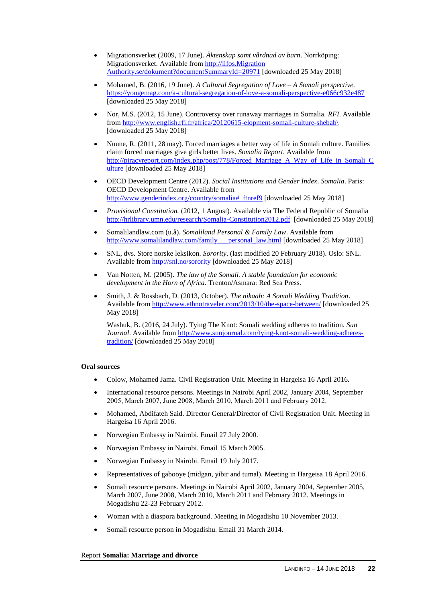- Migrationsverket (2009, 17 June). *Äktenskap samt vårdnad av barn*. Norrköping: Migrationsverket. Available fro[m http://lifos.Migration](http://lifos.migrationsverket.se/dokument?documentSummaryId=20971)  [Authority.se/dokument?documentSummaryId=20971](http://lifos.migrationsverket.se/dokument?documentSummaryId=20971) [downloaded 25 May 2018]
- Mohamed, B. (2016, 19 June). *A Cultural Segregation of Love – A Somali perspective.* <https://yongemag.com/a-cultural-segregation-of-love-a-somali-perspective-e066c932e487> [downloaded 25 May 2018]
- Nor, M.S. (2012, 15 June). Controversy over runaway marriages in Somalia. *RFI*. Available from [http://www.english.rfi.fr/africa/20120615-elopment-somali-culture-shebab\](http://www.english.rfi.fr/africa/20120615-elopment-somali-culture-shebab/) [downloaded 25 May 2018]
- Nuune, R. (2011, 28 may). Forced marriages a better way of life in Somali culture. Families claim forced marriages give girls better lives*. Somalia Report*. Available from [http://piracyreport.com/index.php/post/778/Forced\\_Marriage\\_A\\_Way\\_of\\_Life\\_in\\_Somali\\_C](http://piracyreport.com/index.php/post/778/Forced_Marriage_A_Way_of_Life_in_Somali_Culture) [ulture](http://piracyreport.com/index.php/post/778/Forced_Marriage_A_Way_of_Life_in_Somali_Culture) [downloaded 25 May 2018]
- OECD Development Centre (2012). *Social Institutions and Gender Index*. *Somalia*. Paris: OECD Development Centre. Available from [http://www.genderindex.org/country/somalia#\\_ftnref9](http://www.genderindex.org/country/somalia#_ftnref9) [downloaded 25 May 2018]
- *Provisional Constitution.* (2012, 1 August). Available via The Federal Republic of Somalia <http://hrlibrary.umn.edu/research/Somalia-Constitution2012.pdf>[downloaded 25 May 2018]
- Somalilandlaw.com (u.å). *Somaliland Personal & Family Law*. Available from http://www.somalilandlaw.com/family \_\_\_personal\_law.html [downloaded 25 May 2018]
- SNL, dvs. Store norske leksikon. *Sorority*. (last modified 20 February 2018). Oslo: SNL. Available fro[m http://snl.no/sorority](http://snl.no/sororat) [downloaded 25 May 2018]
- Van Notten, M. (2005). *The law of the Somali. A stable foundation for economic development in the Horn of Africa.* Trenton/Asmara: Red Sea Press.
- Smith, J. & Rossbach, D. (2013, October). *The nikaah: A Somali Wedding Tradition*. Available fro[m http://www.ethnotraveler.com/2013/10/the-space-between/](http://www.ethnotraveler.com/2013/10/the-space-between/) [downloaded 25 May 2018]

Washuk, B. (2016, 24 July). Tying The Knot: Somali wedding adheres to tradition. *Sun Journal*. Available from [http://www.sunjournal.com/tying-knot-somali-wedding-adheres](http://www.sunjournal.com/tying-knot-somali-wedding-adheres-tradition/)[tradition/](http://www.sunjournal.com/tying-knot-somali-wedding-adheres-tradition/) [downloaded 25 May 2018]

#### **Oral sources**

- Colow, Mohamed Jama. Civil Registration Unit. Meeting in Hargeisa 16 April 2016.
- International resource persons. Meetings in Nairobi April 2002, January 2004, September 2005, March 2007, June 2008, March 2010, March 2011 and February 2012.
- Mohamed, Abdifateh Said. Director General/Director of Civil Registration Unit. Meeting in Hargeisa 16 April 2016.
- Norwegian Embassy in Nairobi. Email 27 July 2000.
- Norwegian Embassy in Nairobi. Email 15 March 2005.
- Norwegian Embassy in Nairobi. Email 19 July 2017.
- Representatives of gabooye (midgan, yibir and tumal). Meeting in Hargeisa 18 April 2016.
- Somali resource persons. Meetings in Nairobi April 2002, January 2004, September 2005, March 2007, June 2008, March 2010, March 2011 and February 2012. Meetings in Mogadishu 22-23 February 2012.
- Woman with a diaspora background. Meeting in Mogadishu 10 November 2013.
- Somali resource person in Mogadishu. Email 31 March 2014.